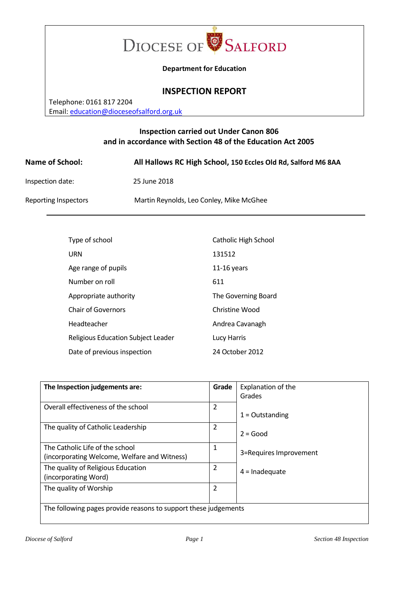

#### **Department for Education**

## **INSPECTION REPORT**

Telephone: 0161 817 2204 Email[: education@dioceseofsalford.org.uk](mailto:education@dioceseofsalford.org.uk)

# **Inspection carried out Under Canon 806 and in accordance with Section 48 of the Education Act 2005**

| <b>Name of School:</b>      | All Hallows RC High School, 150 Eccles Old Rd, Salford M6 8AA |
|-----------------------------|---------------------------------------------------------------|
| Inspection date:            | 25 June 2018                                                  |
| <b>Reporting Inspectors</b> | Martin Reynolds, Leo Conley, Mike McGhee                      |

| Type of school                            | Catholic High School |
|-------------------------------------------|----------------------|
| URN                                       | 131512               |
| Age range of pupils                       | $11-16$ years        |
| Number on roll                            | 611                  |
| Appropriate authority                     | The Governing Board  |
| Chair of Governors                        | Christine Wood       |
| Headteacher                               | Andrea Cavanagh      |
| <b>Religious Education Subject Leader</b> | Lucy Harris          |
| Date of previous inspection               | 24 October 2012      |

| The Inspection judgements are:                                                  | Grade          | Explanation of the<br>Grades |  |
|---------------------------------------------------------------------------------|----------------|------------------------------|--|
| Overall effectiveness of the school                                             | 2              | $1 =$ Outstanding            |  |
| The quality of Catholic Leadership                                              | 2              | $2 = Good$                   |  |
| The Catholic Life of the school<br>(incorporating Welcome, Welfare and Witness) | 1              | 3=Requires Improvement       |  |
| The quality of Religious Education<br>(incorporating Word)                      | 2              | $4 =$ Inadequate             |  |
| The quality of Worship                                                          | $\overline{2}$ |                              |  |
| The following pages provide reasons to support these judgements                 |                |                              |  |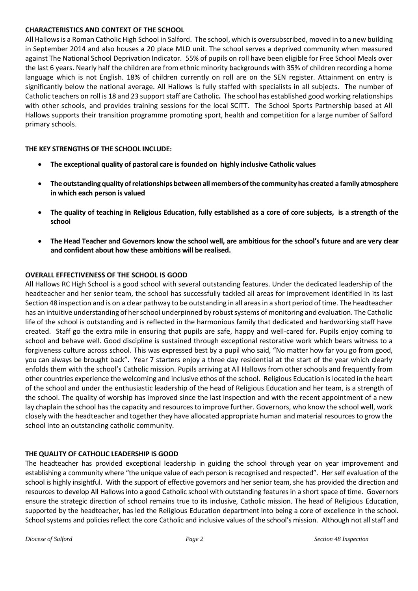#### **CHARACTERISTICS AND CONTEXT OF THE SCHOOL**

All Hallows is a Roman Catholic High School in Salford. The school, which is oversubscribed, moved in to a new building in September 2014 and also houses a 20 place MLD unit. The school serves a deprived community when measured against The National School Deprivation Indicator. 55% of pupils on roll have been eligible for Free School Meals over the last 6 years. Nearly half the children are from ethnic minority backgrounds with 35% of children recording a home language which is not English. 18% of children currently on roll are on the SEN register. Attainment on entry is significantly below the national average. All Hallows is fully staffed with specialists in all subjects. The number of Catholic teachers on roll is 18 and 23 support staff are Catholic**.** The school has established good working relationships with other schools, and provides training sessions for the local SCITT. The School Sports Partnership based at All Hallows supports their transition programme promoting sport, health and competition for a large number of Salford primary schools.

## **THE KEY STRENGTHS OF THE SCHOOL INCLUDE:**

- **The exceptional quality of pastoral care is founded on highly inclusive Catholic values**
- **The outstanding quality of relationships between all members of the community has created a family atmosphere in which each person is valued**
- **The quality of teaching in Religious Education, fully established as a core of core subjects, is a strength of the school**
- **The Head Teacher and Governors know the school well, are ambitious for the school's future and are very clear and confident about how these ambitions will be realised.**

## **OVERALL EFFECTIVENESS OF THE SCHOOL IS GOOD**

All Hallows RC High School is a good school with several outstanding features. Under the dedicated leadership of the headteacher and her senior team, the school has successfully tackled all areas for improvement identified in its last Section 48 inspection and is on a clear pathway to be outstanding in all areas in a short period of time. The headteacher has an intuitive understanding of her school underpinned by robust systems of monitoring and evaluation. The Catholic life of the school is outstanding and is reflected in the harmonious family that dedicated and hardworking staff have created. Staff go the extra mile in ensuring that pupils are safe, happy and well-cared for. Pupils enjoy coming to school and behave well. Good discipline is sustained through exceptional restorative work which bears witness to a forgiveness culture across school. This was expressed best by a pupil who said, "No matter how far you go from good, you can always be brought back". Year 7 starters enjoy a three day residential at the start of the year which clearly enfolds them with the school's Catholic mission. Pupils arriving at All Hallows from other schools and frequently from other countries experience the welcoming and inclusive ethos of the school. Religious Education is located in the heart of the school and under the enthusiastic leadership of the head of Religious Education and her team, is a strength of the school. The quality of worship has improved since the last inspection and with the recent appointment of a new lay chaplain the school has the capacity and resources to improve further. Governors, who know the school well, work closely with the headteacher and together they have allocated appropriate human and material resources to grow the school into an outstanding catholic community.

## **THE QUALITY OF CATHOLIC LEADERSHIP IS GOOD**

The headteacher has provided exceptional leadership in guiding the school through year on year improvement and establishing a community where "the unique value of each person is recognised and respected". Her self evaluation of the school is highly insightful. With the support of effective governors and her senior team, she has provided the direction and resources to develop All Hallows into a good Catholic school with outstanding features in a short space of time. Governors ensure the strategic direction of school remains true to its inclusive, Catholic mission. The head of Religious Education, supported by the headteacher, has led the Religious Education department into being a core of excellence in the school. School systems and policies reflect the core Catholic and inclusive values of the school's mission. Although not all staff and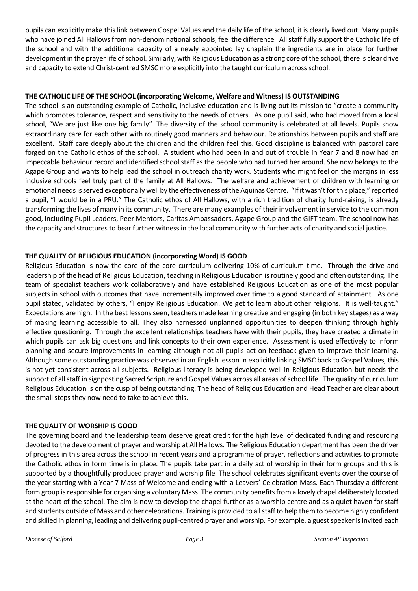pupils can explicitly make this link between Gospel Values and the daily life of the school, it is clearly lived out. Many pupils who have joined All Hallows from non-denominational schools, feel the difference. All staff fully support the Catholic life of the school and with the additional capacity of a newly appointed lay chaplain the ingredients are in place for further development in the prayer life of school. Similarly, with Religious Education as a strong core of the school, there is clear drive and capacity to extend Christ-centred SMSC more explicitly into the taught curriculum across school.

#### **THE CATHOLIC LIFE OF THE SCHOOL (incorporating Welcome, Welfare and Witness) IS OUTSTANDING**

The school is an outstanding example of Catholic, inclusive education and is living out its mission to "create a community which promotes tolerance, respect and sensitivity to the needs of others. As one pupil said, who had moved from a local school, "We are just like one big family". The diversity of the school community is celebrated at all levels. Pupils show extraordinary care for each other with routinely good manners and behaviour. Relationships between pupils and staff are excellent. Staff care deeply about the children and the children feel this. Good discipline is balanced with pastoral care forged on the Catholic ethos of the school. A student who had been in and out of trouble in Year 7 and 8 now had an impeccable behaviour record and identified school staff as the people who had turned her around. She now belongs to the Agape Group and wants to help lead the school in outreach charity work. Students who might feel on the margins in less inclusive schools feel truly part of the family at All Hallows. The welfare and achievement of children with learning or emotional needs is served exceptionally well by the effectiveness of the Aquinas Centre. "If it wasn't for this place," reported a pupil, "I would be in a PRU." The Catholic ethos of All Hallows, with a rich tradition of charity fund-raising, is already transforming the lives of many in its community. There are many examples of their involvement in service to the common good, including Pupil Leaders, Peer Mentors, Caritas Ambassadors, Agape Group and the GIFT team. The school now has the capacity and structures to bear further witness in the local community with further acts of charity and social justice.

#### **THE QUALITY OF RELIGIOUS EDUCATION (incorporating Word) IS GOOD**

Religious Education is now the core of the core curriculum delivering 10% of curriculum time.Through the drive and leadership of the head of Religious Education, teaching in Religious Education is routinely good and often outstanding. The team of specialist teachers work collaboratively and have established Religious Education as one of the most popular subjects in school with outcomes that have incrementally improved over time to a good standard of attainment. As one pupil stated, validated by others, "I enjoy Religious Education. We get to learn about other religions. It is well-taught." Expectations are high. In the best lessons seen, teachers made learning creative and engaging (in both key stages) as a way of making learning accessible to all. They also harnessed unplanned opportunities to deepen thinking through highly effective questioning. Through the excellent relationships teachers have with their pupils, they have created a climate in which pupils can ask big questions and link concepts to their own experience. Assessment is used effectively to inform planning and secure improvements in learning although not all pupils act on feedback given to improve their learning. Although some outstanding practice was observed in an English lesson in explicitly linking SMSC back to Gospel Values, this is not yet consistent across all subjects. Religious literacy is being developed well in Religious Education but needs the support of all staff in signposting Sacred Scripture and Gospel Values across all areas of school life. The quality of curriculum Religious Education is on the cusp of being outstanding. The head of Religious Education and Head Teacher are clear about the small steps they now need to take to achieve this.

## **THE QUALITY OF WORSHIP IS GOOD**

The governing board and the leadership team deserve great credit for the high level of dedicated funding and resourcing devoted to the development of prayer and worship at All Hallows. The Religious Education department has been the driver of progress in this area across the school in recent years and a programme of prayer, reflections and activities to promote the Catholic ethos in form time is in place. The pupils take part in a daily act of worship in their form groups and this is supported by a thoughtfully produced prayer and worship file. The school celebrates significant events over the course of the year starting with a Year 7 Mass of Welcome and ending with a Leavers' Celebration Mass. Each Thursday a different form group is responsible for organising a voluntary Mass. The community benefits from a lovely chapel deliberately located at the heart of the school. The aim is now to develop the chapel further as a worship centre and as a quiet haven for staff and students outside of Mass and other celebrations. Training is provided to all staff to help them to become highly confident and skilled in planning, leading and delivering pupil-centred prayer and worship. For example, a guest speaker is invited each